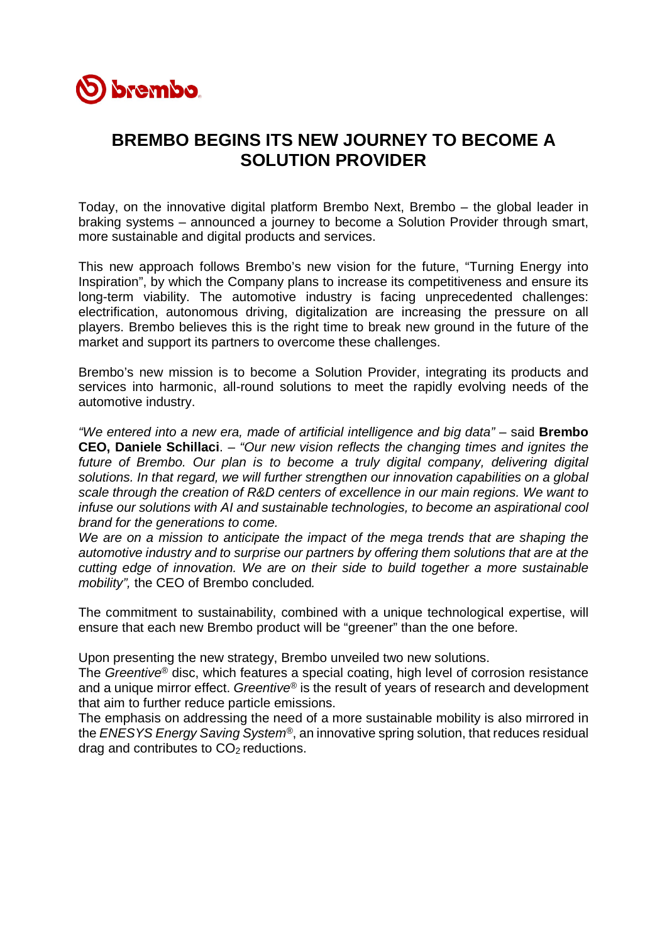

## **BREMBO BEGINS ITS NEW JOURNEY TO BECOME A SOLUTION PROVIDER**

Today, on the innovative digital platform Brembo Next, Brembo – the global leader in braking systems – announced a journey to become a Solution Provider through smart, more sustainable and digital products and services.

This new approach follows Brembo's new vision for the future, "Turning Energy into Inspiration", by which the Company plans to increase its competitiveness and ensure its long-term viability. The automotive industry is facing unprecedented challenges: electrification, autonomous driving, digitalization are increasing the pressure on all players. Brembo believes this is the right time to break new ground in the future of the market and support its partners to overcome these challenges.

Brembo's new mission is to become a Solution Provider, integrating its products and services into harmonic, all-round solutions to meet the rapidly evolving needs of the automotive industry.

"We entered into a new era, made of artificial intelligence and big data" - said **Brembo CEO, Daniele Schillaci**. – *"Our new vision reflects the changing times and ignites the future of Brembo. Our plan is to become a truly digital company, delivering digital solutions. In that regard, we will further strengthen our innovation capabilities on a global scale through the creation of R&D centers of excellence in our main regions. We want to infuse our solutions with AI and sustainable technologies, to become an aspirational cool brand for the generations to come.* 

*We are on a mission to anticipate the impact of the mega trends that are shaping the automotive industry and to surprise our partners by offering them solutions that are at the cutting edge of innovation. We are on their side to build together a more sustainable mobility",* the CEO of Brembo concluded*.* 

The commitment to sustainability, combined with a unique technological expertise, will ensure that each new Brembo product will be "greener" than the one before.

Upon presenting the new strategy, Brembo unveiled two new solutions.

The *Greentive®* disc, which features a special coating, high level of corrosion resistance and a unique mirror effect. *Greentive®* is the result of years of research and development that aim to further reduce particle emissions.

The emphasis on addressing the need of a more sustainable mobility is also mirrored in the *ENESYS Energy Saving System®*, an innovative spring solution, that reduces residual drag and contributes to  $CO<sub>2</sub>$  reductions.